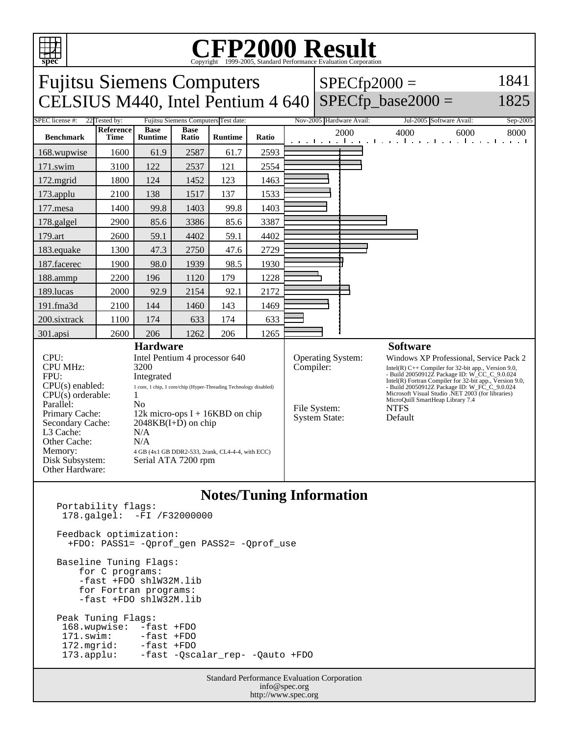

## C<sub>opyright</sub> ©1999-2005, Standard Performance Evaluation Corporation

Fujitsu Siemens Computers CELSIUS M440, Intel Pentium  $4640$  SPECfp\_base2000 =  $SPECfp2000 =$ 1841 1825 SPEC license #: 22 Tested by: Fujitsu Siemens Computers Test date: Nov-2005 Hardware Avail: Jul-2005 Software Avail: Sep-2005 **Benchmark Reference Time Base Runtime Base Ratio Runtime Ratio** 2000 4000 6000 8000 168.wupwise 1600 61.9 2587 61.7 2593 171.swim | 3100 | 122 | 2537 | 121 | 2554 172.mgrid | 1800 | 124 | 1452 | 123 | 1463 173.applu | 2100 | 138 | 1517 | 137 | 1533 177. mesa | 1400 | 99.8 | 1403 | 99.8 | 1403 178.galgel | 2900 | 85.6 | 3386 | 85.6 | 3387 179.art 2600 59.1 4402 59.1 4402 183.equake 1300 47.3 2750 47.6 2729 187.facerec | 1900 | 98.0 | 1939 | 98.5 | 1930 188.ammp | 2200 | 196 | 1120 | 179 | 1228 189.lucas | 2000 | 92.9 | 2154 | 92.1 | 2172 191.fma3d | 2100 | 144 | 1460 | 143 | 1469 200.sixtrack 1100 174 633 174 633 301.apsi 2600 206 1262 206 1265 **Hardware** CPU: Intel Pentium 4 processor 640 CPU MHz: 3200 FPU: Integrated CPU(s) enabled: 1 core, 1 chip, 1 core/chip (Hyper-Threading Technology disabled)  $CPU(s)$  orderable:  $1$ Parallel: No Primary Cache: 12k micro-ops I + 16KBD on chip Secondary Cache: 2048KB(I+D) on chip L3 Cache: N/A Other Cache: N/A Memory: 4 GB (4x1 GB DDR2-533, 2rank, CL4-4-4, with ECC) Disk Subsystem: Serial ATA 7200 rpm Other Hardware: **Software** Operating System: Windows XP Professional, Service Pack 2 Compiler:<br>
Intel(R) C++ Compiler for 32-bit app., Version 9.0,<br>
- Build 20050912Z Package ID: W\_CC\_C\_9.0.024<br>
Intel(R) Fortran Compiler for 32-bit app., Version 9.0,<br>
- Build 20050912Z Package ID: W\_FC\_C\_9.0.024<br>
Microsoft File System: NTFS<br>System State: Default System State:

**Notes/Tuning Information**

 178.galgel: -FI /F32000000 Feedback optimization: +FDO: PASS1= -Qprof\_gen PASS2= -Qprof\_use Baseline Tuning Flags: for C programs: -fast +FDO shlW32M.lib for Fortran programs: -fast +FDO shlW32M.lib Peak Tuning Flags: 168.wupwise: -fast +FDO<br>171.swim: -fast +FDO -fast +FDO 172.mgrid: -fast +FDO 173.applu: -fast -Qscalar\_rep- -Qauto +FDO

Portability flags:

Standard Performance Evaluation Corporation info@spec.org http://www.spec.org